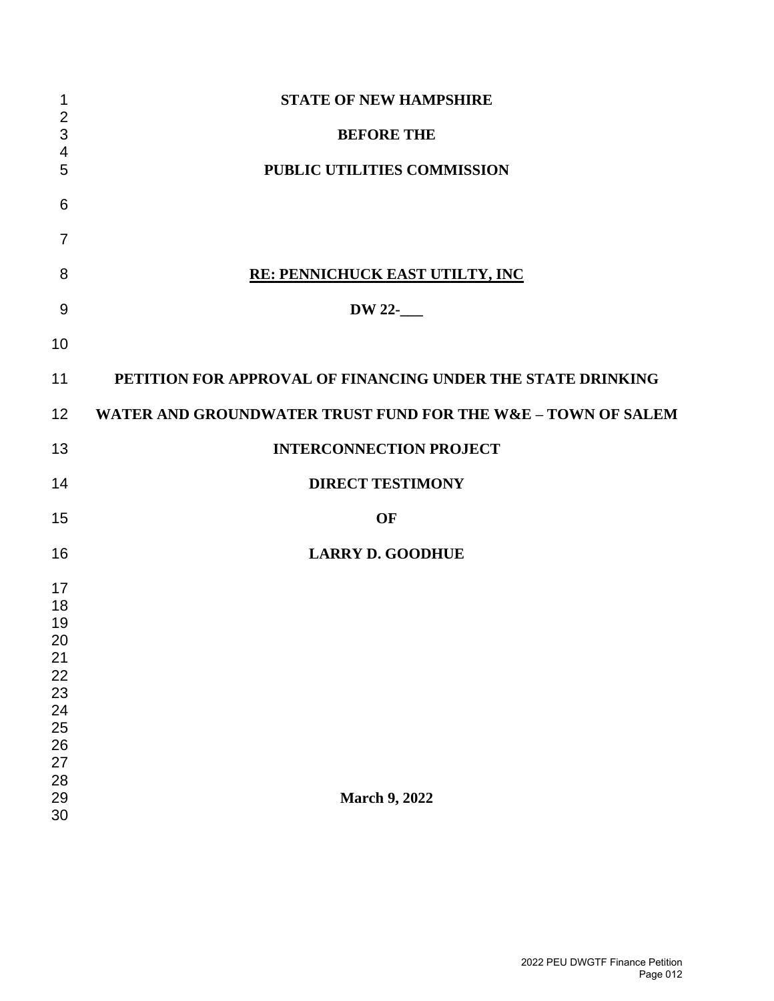| $\mathbf 1$         | <b>STATE OF NEW HAMPSHIRE</b>                                |
|---------------------|--------------------------------------------------------------|
| $\overline{2}$<br>3 | <b>BEFORE THE</b>                                            |
| 4<br>5              | PUBLIC UTILITIES COMMISSION                                  |
|                     |                                                              |
| 6                   |                                                              |
| 7                   |                                                              |
| 8                   | RE: PENNICHUCK EAST UTILTY, INC                              |
| 9                   | DW 22-                                                       |
| 10                  |                                                              |
|                     |                                                              |
| 11                  | PETITION FOR APPROVAL OF FINANCING UNDER THE STATE DRINKING  |
| 12 <sub>2</sub>     | WATER AND GROUNDWATER TRUST FUND FOR THE W&E - TOWN OF SALEM |
| 13                  | <b>INTERCONNECTION PROJECT</b>                               |
| 14                  | <b>DIRECT TESTIMONY</b>                                      |
| 15                  | <b>OF</b>                                                    |
| 16                  | <b>LARRY D. GOODHUE</b>                                      |
| 17                  |                                                              |
| 18                  |                                                              |
| 19                  |                                                              |
| 20                  |                                                              |
| 21<br>22            |                                                              |
| 23                  |                                                              |
| 24                  |                                                              |
| 25                  |                                                              |
|                     |                                                              |
| 26<br>27            |                                                              |
| 28                  |                                                              |
| 29                  | <b>March 9, 2022</b>                                         |
| 30                  |                                                              |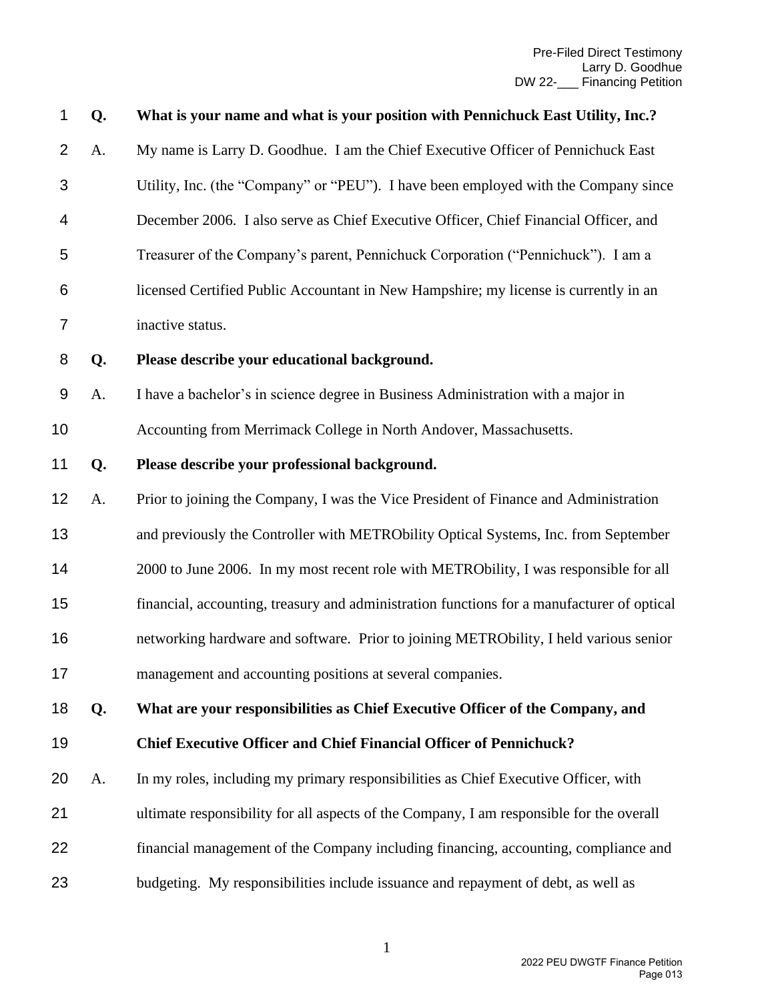| 1                | Q. | What is your name and what is your position with Pennichuck East Utility, Inc.?            |
|------------------|----|--------------------------------------------------------------------------------------------|
| $\overline{2}$   | A. | My name is Larry D. Goodhue. I am the Chief Executive Officer of Pennichuck East           |
| 3                |    | Utility, Inc. (the "Company" or "PEU"). I have been employed with the Company since        |
| 4                |    | December 2006. I also serve as Chief Executive Officer, Chief Financial Officer, and       |
| 5                |    | Treasurer of the Company's parent, Pennichuck Corporation ("Pennichuck"). I am a           |
| 6                |    | licensed Certified Public Accountant in New Hampshire; my license is currently in an       |
| 7                |    | inactive status.                                                                           |
| 8                | Q. | Please describe your educational background.                                               |
| $\boldsymbol{9}$ | A. | I have a bachelor's in science degree in Business Administration with a major in           |
| 10               |    | Accounting from Merrimack College in North Andover, Massachusetts.                         |
| 11               | Q. | Please describe your professional background.                                              |
| 12               | A. | Prior to joining the Company, I was the Vice President of Finance and Administration       |
| 13               |    | and previously the Controller with METRObility Optical Systems, Inc. from September        |
| 14               |    | 2000 to June 2006. In my most recent role with METRObility, I was responsible for all      |
| 15               |    | financial, accounting, treasury and administration functions for a manufacturer of optical |
| 16               |    | networking hardware and software. Prior to joining METRObility, I held various senior      |
| 17               |    | management and accounting positions at several companies.                                  |
| 18               | Q. | What are your responsibilities as Chief Executive Officer of the Company, and              |
| 19               |    | <b>Chief Executive Officer and Chief Financial Officer of Pennichuck?</b>                  |
| 20               | A. | In my roles, including my primary responsibilities as Chief Executive Officer, with        |
| 21               |    | ultimate responsibility for all aspects of the Company, I am responsible for the overall   |
| 22               |    | financial management of the Company including financing, accounting, compliance and        |
| 23               |    | budgeting. My responsibilities include issuance and repayment of debt, as well as          |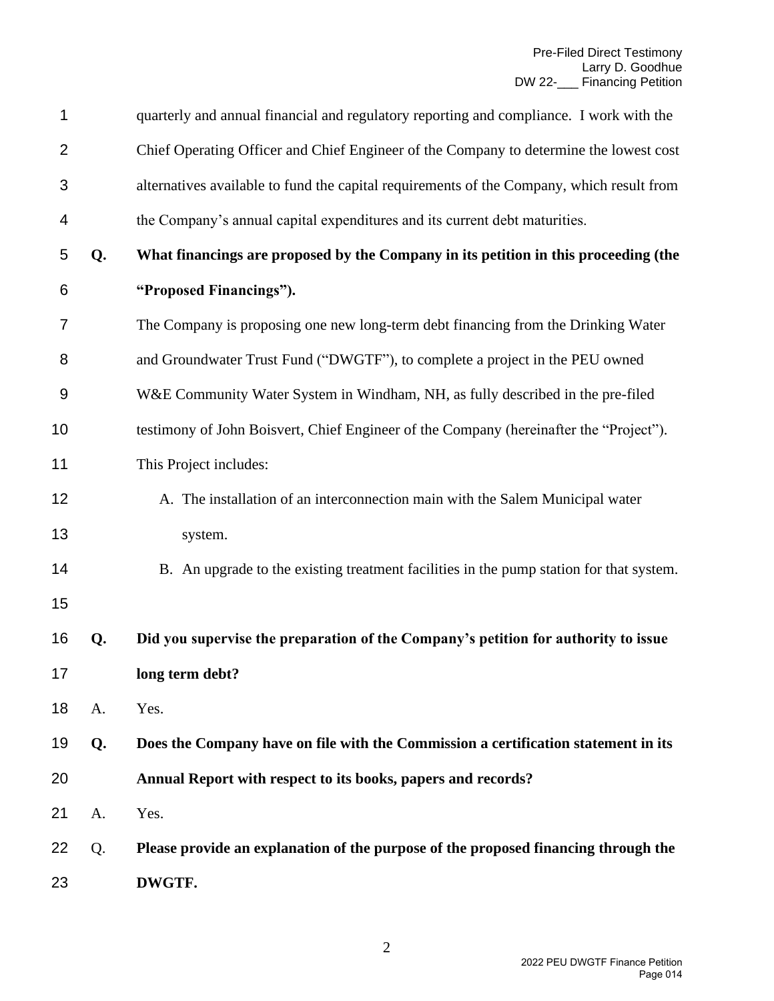| 1              |    | quarterly and annual financial and regulatory reporting and compliance. I work with the   |
|----------------|----|-------------------------------------------------------------------------------------------|
| $\overline{2}$ |    | Chief Operating Officer and Chief Engineer of the Company to determine the lowest cost    |
| 3              |    | alternatives available to fund the capital requirements of the Company, which result from |
| 4              |    | the Company's annual capital expenditures and its current debt maturities.                |
| 5              | Q. | What financings are proposed by the Company in its petition in this proceeding (the       |
| 6              |    | "Proposed Financings").                                                                   |
| 7              |    | The Company is proposing one new long-term debt financing from the Drinking Water         |
| 8              |    | and Groundwater Trust Fund ("DWGTF"), to complete a project in the PEU owned              |
| 9              |    | W&E Community Water System in Windham, NH, as fully described in the pre-filed            |
| 10             |    | testimony of John Boisvert, Chief Engineer of the Company (hereinafter the "Project").    |
| 11             |    | This Project includes:                                                                    |
| 12             |    | A. The installation of an interconnection main with the Salem Municipal water             |
| 13             |    | system.                                                                                   |
| 14             |    | B. An upgrade to the existing treatment facilities in the pump station for that system.   |
| 15             |    |                                                                                           |
| 16             | Q. | Did you supervise the preparation of the Company's petition for authority to issue        |
| 17             |    | long term debt?                                                                           |
| 18             | A. | Yes.                                                                                      |
| 19             | Q. | Does the Company have on file with the Commission a certification statement in its        |
| 20             |    | Annual Report with respect to its books, papers and records?                              |
| 21             | A. | Yes.                                                                                      |
| 22             | Q. | Please provide an explanation of the purpose of the proposed financing through the        |
| 23             |    | DWGTF.                                                                                    |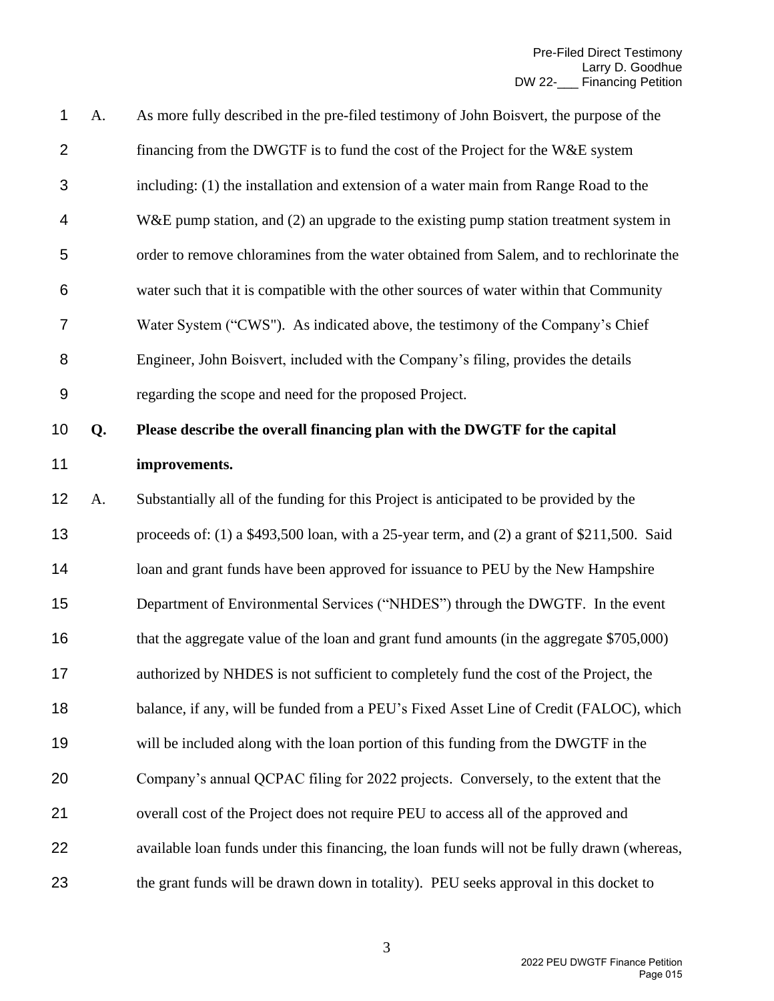| 1              | A. | As more fully described in the pre-filed testimony of John Boisvert, the purpose of the     |
|----------------|----|---------------------------------------------------------------------------------------------|
| $\overline{2}$ |    | financing from the DWGTF is to fund the cost of the Project for the W&E system              |
| 3              |    | including: (1) the installation and extension of a water main from Range Road to the        |
| 4              |    | $W&E$ pump station, and (2) an upgrade to the existing pump station treatment system in     |
| 5              |    | order to remove chloramines from the water obtained from Salem, and to rechlorinate the     |
| 6              |    | water such that it is compatible with the other sources of water within that Community      |
| 7              |    | Water System ("CWS"). As indicated above, the testimony of the Company's Chief              |
| 8              |    | Engineer, John Boisvert, included with the Company's filing, provides the details           |
| 9              |    | regarding the scope and need for the proposed Project.                                      |
| 10             | Q. | Please describe the overall financing plan with the DWGTF for the capital                   |
| 11             |    | improvements.                                                                               |
| 12             | A. | Substantially all of the funding for this Project is anticipated to be provided by the      |
| 13             |    | proceeds of: (1) a \$493,500 loan, with a 25-year term, and (2) a grant of \$211,500. Said  |
| 14             |    | loan and grant funds have been approved for issuance to PEU by the New Hampshire            |
| 15             |    | Department of Environmental Services ("NHDES") through the DWGTF. In the event              |
| 16             |    | that the aggregate value of the loan and grant fund amounts (in the aggregate \$705,000)    |
| 17             |    | authorized by NHDES is not sufficient to completely fund the cost of the Project, the       |
| 18             |    | balance, if any, will be funded from a PEU's Fixed Asset Line of Credit (FALOC), which      |
| 19             |    | will be included along with the loan portion of this funding from the DWGTF in the          |
| 20             |    | Company's annual QCPAC filing for 2022 projects. Conversely, to the extent that the         |
| 21             |    | overall cost of the Project does not require PEU to access all of the approved and          |
| 22             |    | available loan funds under this financing, the loan funds will not be fully drawn (whereas, |
| 23             |    | the grant funds will be drawn down in totality). PEU seeks approval in this docket to       |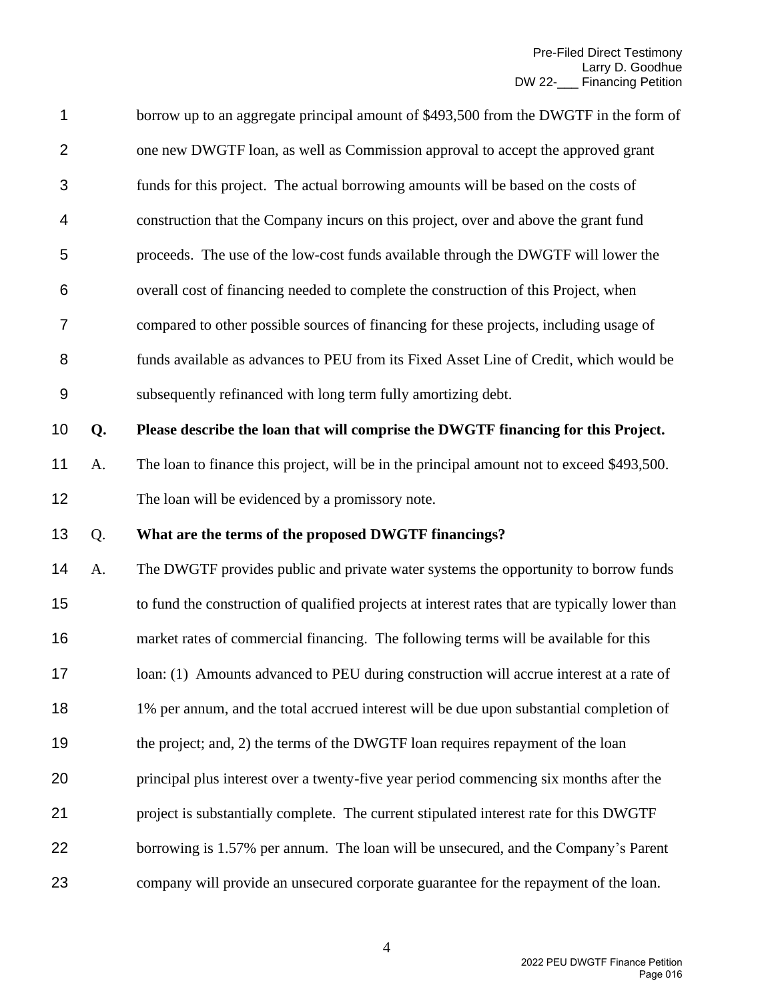| 1              |    | borrow up to an aggregate principal amount of \$493,500 from the DWGTF in the form of          |
|----------------|----|------------------------------------------------------------------------------------------------|
| $\overline{2}$ |    | one new DWGTF loan, as well as Commission approval to accept the approved grant                |
| 3              |    | funds for this project. The actual borrowing amounts will be based on the costs of             |
| 4              |    | construction that the Company incurs on this project, over and above the grant fund            |
| 5              |    | proceeds. The use of the low-cost funds available through the DWGTF will lower the             |
| 6              |    | overall cost of financing needed to complete the construction of this Project, when            |
| 7              |    | compared to other possible sources of financing for these projects, including usage of         |
| 8              |    | funds available as advances to PEU from its Fixed Asset Line of Credit, which would be         |
| $9$            |    | subsequently refinanced with long term fully amortizing debt.                                  |
| 10             | Q. | Please describe the loan that will comprise the DWGTF financing for this Project.              |
| 11             | A. | The loan to finance this project, will be in the principal amount not to exceed \$493,500.     |
| 12             |    | The loan will be evidenced by a promissory note.                                               |
| 13             | Q. | What are the terms of the proposed DWGTF financings?                                           |
| 14             | A. | The DWGTF provides public and private water systems the opportunity to borrow funds            |
| 15             |    | to fund the construction of qualified projects at interest rates that are typically lower than |
| 16             |    | market rates of commercial financing. The following terms will be available for this           |
| 17             |    | loan: (1) Amounts advanced to PEU during construction will accrue interest at a rate of        |
| 18             |    | 1% per annum, and the total accrued interest will be due upon substantial completion of        |
| 19             |    | the project; and, 2) the terms of the DWGTF loan requires repayment of the loan                |
| 20             |    | principal plus interest over a twenty-five year period commencing six months after the         |
| 21             |    | project is substantially complete. The current stipulated interest rate for this DWGTF         |
| 22             |    | borrowing is 1.57% per annum. The loan will be unsecured, and the Company's Parent             |
| 23             |    | company will provide an unsecured corporate guarantee for the repayment of the loan.           |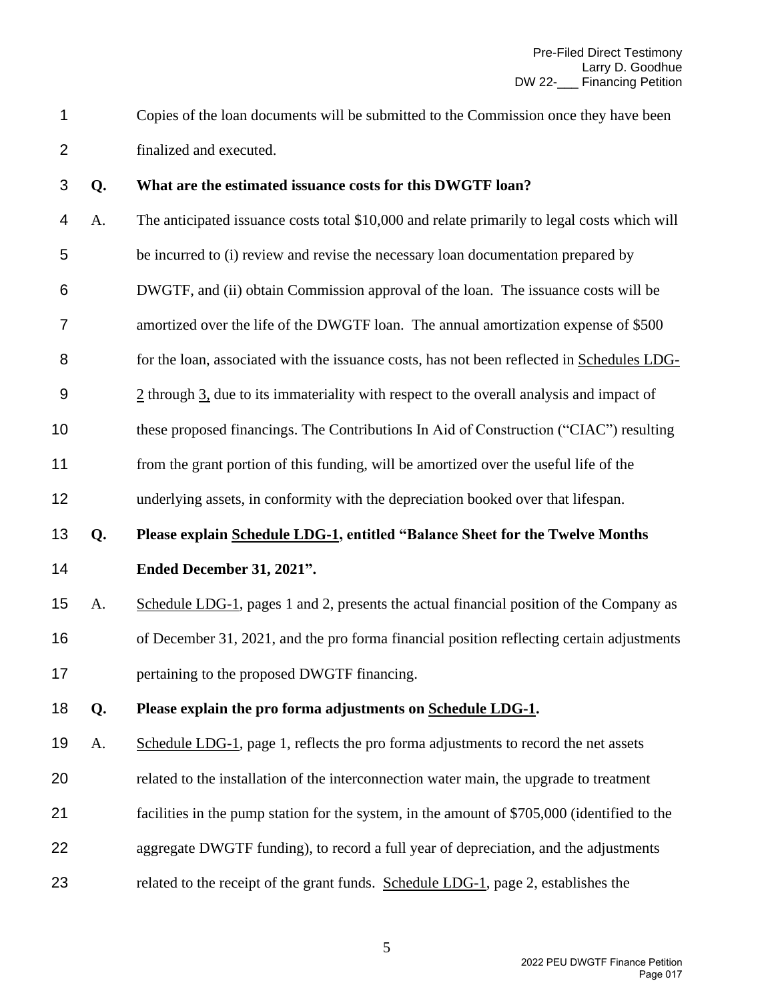Copies of the loan documents will be submitted to the Commission once they have been finalized and executed.

#### **Q. What are the estimated issuance costs for this DWGTF loan?**

- A. The anticipated issuance costs total \$10,000 and relate primarily to legal costs which will be incurred to (i) review and revise the necessary loan documentation prepared by DWGTF, and (ii) obtain Commission approval of the loan. The issuance costs will be amortized over the life of the DWGTF loan. The annual amortization expense of \$500 for the loan, associated with the issuance costs, has not been reflected in Schedules LDG- 2 through 3, due to its immateriality with respect to the overall analysis and impact of these proposed financings. The Contributions In Aid of Construction ("CIAC") resulting
- from the grant portion of this funding, will be amortized over the useful life of the
- underlying assets, in conformity with the depreciation booked over that lifespan.

# **Q. Please explain Schedule LDG-1, entitled "Balance Sheet for the Twelve Months**

**Ended December 31, 2021".**

 A. Schedule LDG-1, pages 1 and 2, presents the actual financial position of the Company as of December 31, 2021, and the pro forma financial position reflecting certain adjustments **pertaining to the proposed DWGTF financing.** 

### **Q. Please explain the pro forma adjustments on Schedule LDG-1.**

- A. Schedule LDG-1, page 1, reflects the pro forma adjustments to record the net assets
- related to the installation of the interconnection water main, the upgrade to treatment
- facilities in the pump station for the system, in the amount of \$705,000 (identified to the
- aggregate DWGTF funding), to record a full year of depreciation, and the adjustments
- related to the receipt of the grant funds. Schedule LDG-1, page 2, establishes the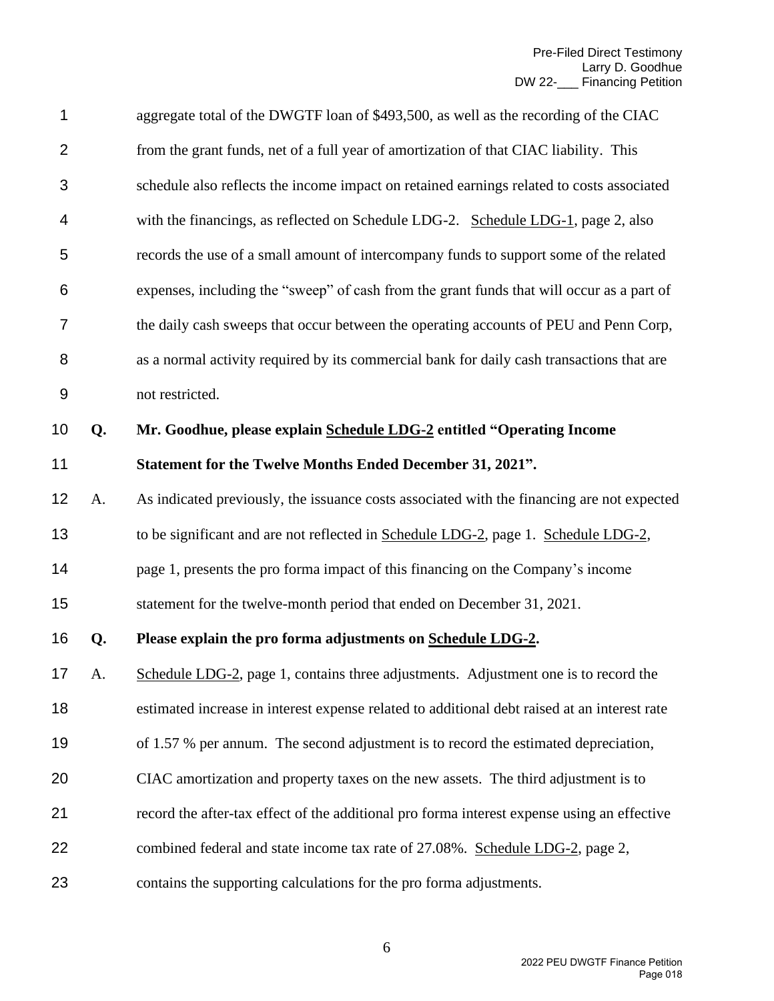| 1                |    | aggregate total of the DWGTF loan of \$493,500, as well as the recording of the CIAC         |
|------------------|----|----------------------------------------------------------------------------------------------|
| $\overline{2}$   |    | from the grant funds, net of a full year of amortization of that CIAC liability. This        |
| 3                |    | schedule also reflects the income impact on retained earnings related to costs associated    |
| 4                |    | with the financings, as reflected on Schedule LDG-2. Schedule LDG-1, page 2, also            |
| 5                |    | records the use of a small amount of intercompany funds to support some of the related       |
| 6                |    | expenses, including the "sweep" of cash from the grant funds that will occur as a part of    |
| $\overline{7}$   |    | the daily cash sweeps that occur between the operating accounts of PEU and Penn Corp,        |
| 8                |    | as a normal activity required by its commercial bank for daily cash transactions that are    |
| $\boldsymbol{9}$ |    | not restricted.                                                                              |
| 10               | Q. | Mr. Goodhue, please explain Schedule LDG-2 entitled "Operating Income                        |
| 11               |    | Statement for the Twelve Months Ended December 31, 2021".                                    |
| 12               | A. | As indicated previously, the issuance costs associated with the financing are not expected   |
| 13               |    | to be significant and are not reflected in Schedule LDG-2, page 1. Schedule LDG-2,           |
| 14               |    | page 1, presents the pro forma impact of this financing on the Company's income              |
| 15               |    | statement for the twelve-month period that ended on December 31, 2021.                       |
| 16               | Q. | Please explain the pro forma adjustments on Schedule LDG-2.                                  |
| 17 <sub>1</sub>  | А. | Schedule LDG-2, page 1, contains three adjustments. Adjustment one is to record the          |
| 18               |    | estimated increase in interest expense related to additional debt raised at an interest rate |
| 19               |    | of 1.57 % per annum. The second adjustment is to record the estimated depreciation,          |
| 20               |    | CIAC amortization and property taxes on the new assets. The third adjustment is to           |
| 21               |    | record the after-tax effect of the additional pro forma interest expense using an effective  |
| 22               |    | combined federal and state income tax rate of 27.08%. Schedule LDG-2, page 2,                |
| 23               |    | contains the supporting calculations for the pro forma adjustments.                          |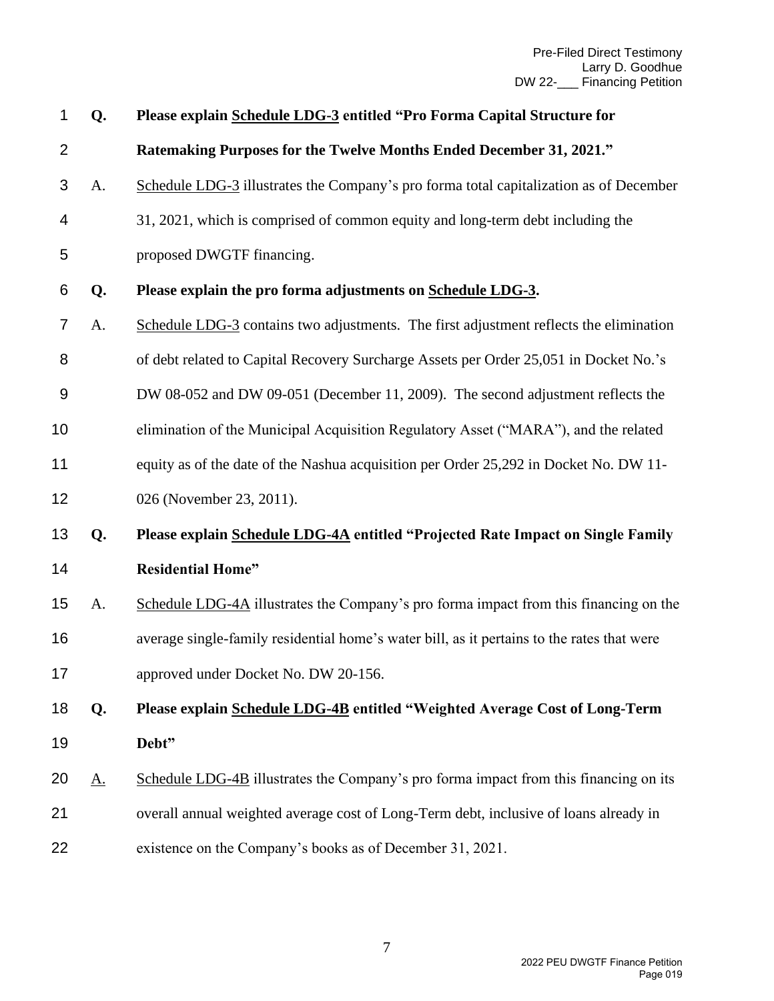| 1              | Q.        | Please explain Schedule LDG-3 entitled "Pro Forma Capital Structure for                    |
|----------------|-----------|--------------------------------------------------------------------------------------------|
| $\overline{2}$ |           | Ratemaking Purposes for the Twelve Months Ended December 31, 2021."                        |
| 3              | A.        | Schedule LDG-3 illustrates the Company's pro forma total capitalization as of December     |
| 4              |           | 31, 2021, which is comprised of common equity and long-term debt including the             |
| 5              |           | proposed DWGTF financing.                                                                  |
| 6              | Q.        | Please explain the pro forma adjustments on Schedule LDG-3.                                |
| 7              | A.        | Schedule LDG-3 contains two adjustments. The first adjustment reflects the elimination     |
| 8              |           | of debt related to Capital Recovery Surcharge Assets per Order 25,051 in Docket No.'s      |
| 9              |           | DW 08-052 and DW 09-051 (December 11, 2009). The second adjustment reflects the            |
| 10             |           | elimination of the Municipal Acquisition Regulatory Asset ("MARA"), and the related        |
| 11             |           | equity as of the date of the Nashua acquisition per Order 25,292 in Docket No. DW 11-      |
| 12             |           | 026 (November 23, 2011).                                                                   |
| 13             | Q.        | Please explain Schedule LDG-4A entitled "Projected Rate Impact on Single Family            |
| 14             |           | <b>Residential Home"</b>                                                                   |
| 15             | A.        | Schedule LDG-4A illustrates the Company's pro forma impact from this financing on the      |
| 16             |           | average single-family residential home's water bill, as it pertains to the rates that were |
| 17             |           | approved under Docket No. DW 20-156.                                                       |
| 18             | Q.        | Please explain Schedule LDG-4B entitled "Weighted Average Cost of Long-Term                |
| 19             |           | Debt"                                                                                      |
| 20             | <u>A.</u> | Schedule LDG-4B illustrates the Company's pro forma impact from this financing on its      |
| 21             |           | overall annual weighted average cost of Long-Term debt, inclusive of loans already in      |
| 22             |           | existence on the Company's books as of December 31, 2021.                                  |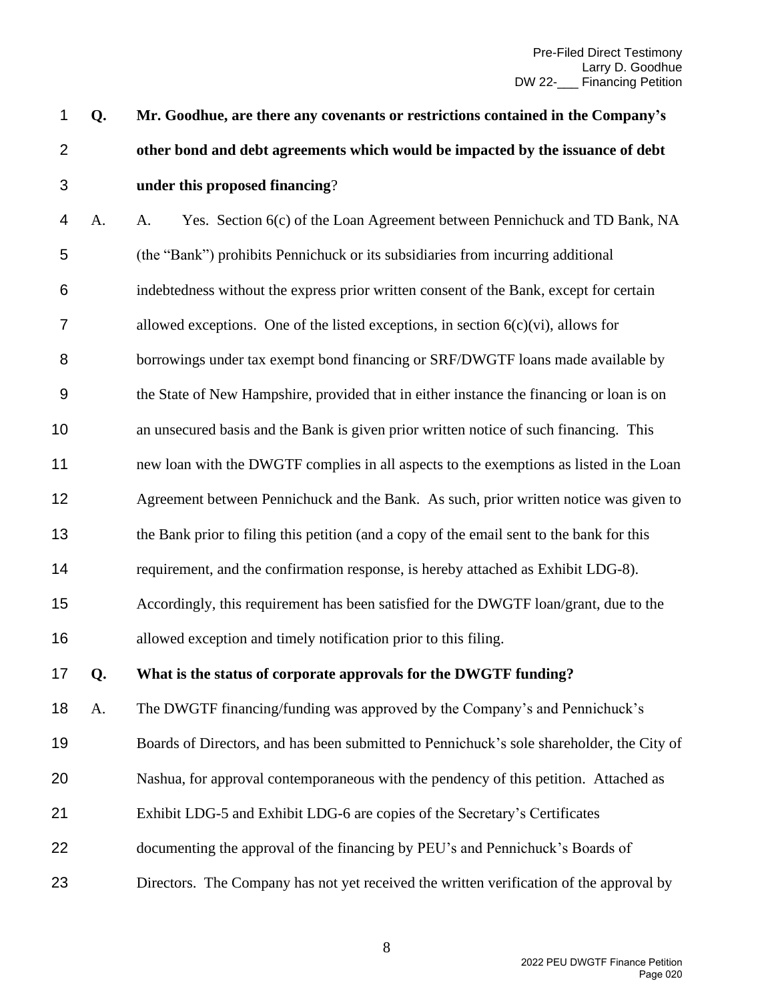**Q. Mr. Goodhue, are there any covenants or restrictions contained in the Company's other bond and debt agreements which would be impacted by the issuance of debt under this proposed financing**?

 A. A. Yes. Section 6(c) of the Loan Agreement between Pennichuck and TD Bank, NA (the "Bank") prohibits Pennichuck or its subsidiaries from incurring additional indebtedness without the express prior written consent of the Bank, except for certain 7 allowed exceptions. One of the listed exceptions, in section  $6(c)(vi)$ , allows for borrowings under tax exempt bond financing or SRF/DWGTF loans made available by the State of New Hampshire, provided that in either instance the financing or loan is on an unsecured basis and the Bank is given prior written notice of such financing. This new loan with the DWGTF complies in all aspects to the exemptions as listed in the Loan Agreement between Pennichuck and the Bank. As such, prior written notice was given to the Bank prior to filing this petition (and a copy of the email sent to the bank for this requirement, and the confirmation response, is hereby attached as Exhibit LDG-8). Accordingly, this requirement has been satisfied for the DWGTF loan/grant, due to the allowed exception and timely notification prior to this filing.

**Q. What is the status of corporate approvals for the DWGTF funding?**

A. The DWGTF financing/funding was approved by the Company's and Pennichuck's

Boards of Directors, and has been submitted to Pennichuck's sole shareholder, the City of

- Nashua, for approval contemporaneous with the pendency of this petition. Attached as
- Exhibit LDG-5 and Exhibit LDG-6 are copies of the Secretary's Certificates
- 22 documenting the approval of the financing by PEU's and Pennichuck's Boards of
- Directors. The Company has not yet received the written verification of the approval by